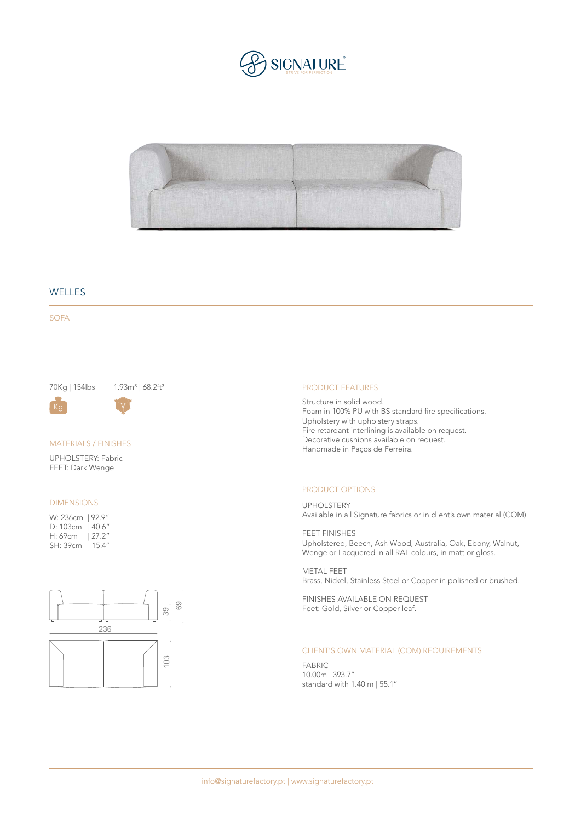



## **WELLES**

SOFA

70Kg | 154lbs 1.93m<sup>3</sup> | 68.2ft<sup>3</sup>

### MATERIALS / FINISHES

Kg  $\vee$ 

UPHOLSTERY: Fabric FEET: Dark Wenge

#### DIMENSIONS

| W: 236cm   92.9" |        |
|------------------|--------|
| D: 103cm         | 140.6" |
| H: 69cm          | 127.2" |
| SH: 39cm         | 15.4″  |



#### PRODUCT FEATURES

Structure in solid wood. Foam in 100% PU with BS standard fire specifications. Upholstery with upholstery straps. Fire retardant interlining is available on request. Decorative cushions available on request. Handmade in Paços de Ferreira.

#### PRODUCT OPTIONS

UPHOLSTERY Available in all Signature fabrics or in client's own material (COM).

FEET FINISHES Upholstered, Beech, Ash Wood, Australia, Oak, Ebony, Walnut, Wenge or Lacquered in all RAL colours, in matt or gloss.

METAL FEET Brass, Nickel, Stainless Steel or Copper in polished or brushed.

FINISHES AVAILABLE ON REQUEST Feet: Gold, Silver or Copper leaf.

## CLIENT'S OWN MATERIAL (COM) REQUIREMENTS

FABRIC 10.00m | 393.7'' standard with 1.40 m | 55.1''